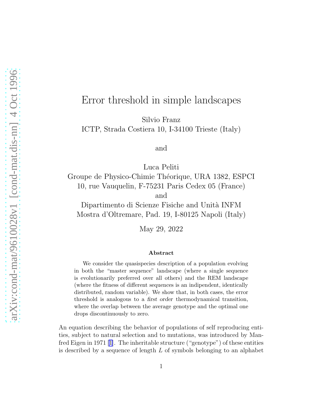# Error threshold in simple landscapes

Silvio Franz

ICTP, Strada Costiera 10, I-34100 Trieste (Italy)

and

Luca Peliti

Groupe de Physico-Chimie Théorique, URA 1382, ESPCI 10, rue Vauquelin, F-75231 Paris Cedex 05 (France)

and

Dipartimento di Scienze Fisiche and Unit`a INFM Mostra d'Oltremare, Pad. 19, I-80125 Napoli (Italy)

May 29, 2022

#### Abstract

We consider the quasispecies description of a population evolving in both the "master sequence" landscape (where a single sequence is evolutionarily preferred over all others) and the REM landscape (where the fitness of different sequences is an indipendent, identically distributed, random variable). We show that, in both cases, the error threshold is analogous to a first order thermodynamical transition, where the overlap between the average genotype and the optimal one drops discontinuously to zero.

An equation describing the behavior of populations of self reproducing entities, subject to natural selection and to mutations, was introduced by Manfred Eigen in 1971[[1\]](#page-8-0). The inheritable structure ("genotype") of these entities is described by a sequence of length  $L$  of symbols belonging to an alphabet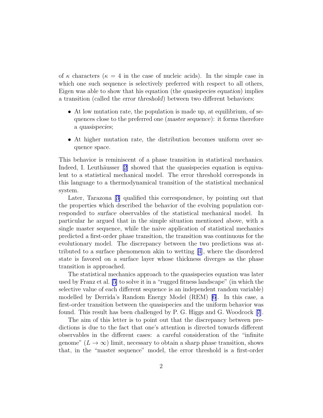of  $\kappa$  characters ( $\kappa = 4$  in the case of nucleic acids). In the simple case in which one such sequence is selectively preferred with respect to all others, Eigen was able to show that his equation (the quasispecies equation) implies a transition (called the error threshold) between two different behaviors:

- At low mutation rate, the population is made up, at equilibrium, of sequences close to the preferred one (master sequence): it forms therefore a quasispecies;
- At higher mutation rate, the distribution becomes uniform over sequence space.

This behavior is reminiscent of a phase transition in statistical mechanics. Indeed,I. Leuthäusser  $|2|$  showed that the quasispecies equation is equivalent to a statistical mechanical model. The error threshold corresponds in this language to a thermodynamical transition of the statistical mechanical system.

Later, Tarazona [\[3\]](#page-9-0) qualified this correspondence, by pointing out that the properties which described the behavior of the evolving population corresponded to surface observables of the statistical mechanical model. In particular he argued that in the simple situation mentioned above, with a single master sequence, while the naive application of statistical mechanics predicted a first-order phase transition, the transition was continuous for the evolutionary model. The discrepancy between the two predictions was attributed to a surface phenomenon akin to wetting[[4\]](#page-9-0), where the disordered state is favored on a surface layer whose thickness diverges as the phase transition is approached.

The statistical mechanics approach to the quasispecies equation was later used by Franz et al. [\[5](#page-9-0)] to solve it in a "rugged fitness landscape" (in which the selective value of each different sequence is an independent random variable) modelled by Derrida's Random Energy Model (REM) [\[6](#page-9-0)]. In this case, a first-order transition between the quasispecies and the uniform behavior was found. This result has been challenged by P. G. Higgs and G. Woodcock[[7](#page-9-0)].

The aim of this letter is to point out that the discrepancy between predictions is due to the fact that one's attention is directed towards different observables in the different cases: a careful consideration of the "infinite genome"  $(L \to \infty)$  limit, necessary to obtain a sharp phase transition, shows that, in the "master sequence" model, the error threshold is a first-order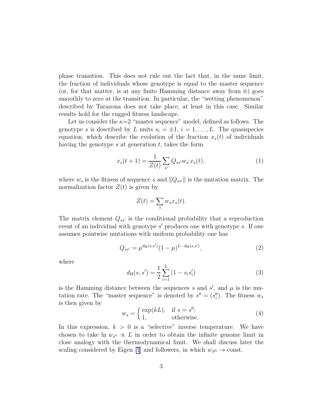<span id="page-2-0"></span>phase transition. This does not rule out the fact that, in the same limit, the fraction of individuals whose genotype is equal to the master sequence (or, for that matter, is at any finite Hamming distance away from it) goes smoothly to zero at the transition. In particular, the "wetting phenomenon" described by Tarazona does not take place, at least in this case. Similar results hold for the rugged fitness landscape.

Let us consider the  $\kappa=2$  "master sequence" model, defined as follows. The genotype s is described by L units  $s_i = \pm 1, i = 1, \ldots, L$ . The quasispecies equation, which describe the evolution of the fraction  $x<sub>s</sub>(t)$  of individuals having the genotype  $s$  at generation  $t$ , takes the form

$$
x_s(t+1) = \frac{1}{Z(t)} \sum_{s'} Q_{ss'} w_{s'} x_s(t), \qquad (1)
$$

where  $w_s$  is the fitness of sequence s and  $||Q_{ss'}||$  is the mutation matrix. The normalization factor  $Z(t)$  is given by

$$
Z(t) = \sum_{s} w_s x_s(t).
$$

The matrix element  $Q_{ss'}$  is the conditional probability that a reproduction event of an individual with genotype s' produces one with genotype s. If one assumes pointwise mutations with uniform probability one has

$$
Q_{ss'} = \mu^{d_H(s,s')}(1-\mu)^{L-d_H(s,s')},\tag{2}
$$

where

$$
d_{\mathrm{H}}(s, s') = \frac{1}{2} \sum_{i=1}^{L} (1 - s_i s'_i)
$$
 (3)

is the Hamming distance between the sequences s and  $s'$ , and  $\mu$  is the mutation rate. The "master sequence" is denoted by  $s^0 = (s_i^0)$ . The fitness  $w_s$ is then given by

$$
w_s = \begin{cases} \exp(kL), & \text{if } s = s^0; \\ 1, & \text{otherwise.} \end{cases}
$$
 (4)

In this expression,  $k > 0$  is a "selective" inverse temperature. We have chosen to take  $\ln w_{s0} \propto L$  in order to obtain the infinite genome limit in close analogy with the thermodynamical limit. We shall discuss later the scaling considered by Eigen [\[1](#page-8-0)] and followers, in which  $w_{S^0} \to \text{const.}$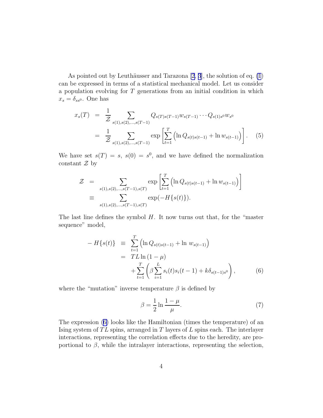As pointed out by Leuthäusser and Tarazona  $[2, 3]$  $[2, 3]$  $[2, 3]$ , the solution of eq.  $(1)$ can be expressed in terms of a statistical mechanical model. Let us consider a population evolving for T generations from an initial condition in which  $x_s = \delta_{ss^0}$ . One has

$$
x_s(T) = \frac{1}{\mathcal{Z}} \sum_{s(1), s(2), \dots, s(T-1)} Q_{s(T)s(T-1)} w_{s(T-1)} \cdots Q_{s(1)s^0} w_{s^0}
$$
  
= 
$$
\frac{1}{\mathcal{Z}} \sum_{s(1), s(2), \dots, s(T-1)} \exp \left[ \sum_{t=1}^T \left( \ln Q_{s(t)s(t-1)} + \ln w_{s(t-1)} \right) \right].
$$
 (5)

We have set  $s(T) = s$ ,  $s(0) = s^0$ , and we have defined the normalization constant  $\mathcal Z$  by

$$
\mathcal{Z} = \sum_{s(1), s(2), \dots, s(T-1), s(T)} \exp \left[ \sum_{t=1}^{T} \left( \ln Q_{s(t)s(t-1)} + \ln w_{s(t-1)} \right) \right]
$$
  

$$
\equiv \sum_{s(1), s(2), \dots, s(T-1), s(T)} \exp(-H\{s(t)\}).
$$

The last line defines the symbol  $H$ . It now turns out that, for the "master" sequence" model,

$$
- H\{s(t)\} \equiv \sum_{t=1}^{T} \left( \ln Q_{s(t)s(t-1)} + \ln w_{s(t-1)} \right)
$$
  
= 
$$
TL \ln (1 - \mu)
$$
  
+ 
$$
\sum_{t=1}^{T} \left( \beta \sum_{i=1}^{L} s_i(t)s_i(t-1) + k \delta_{s(t-1)s^0} \right),
$$
 (6)

where the "mutation" inverse temperature  $\beta$  is defined by

$$
\beta = \frac{1}{2} \ln \frac{1 - \mu}{\mu}.\tag{7}
$$

The expression (6) looks like the Hamiltonian (times the temperature) of an Ising system of  $TL$  spins, arranged in  $T$  layers of  $L$  spins each. The interlayer interactions, representing the correlation effects due to the heredity, are proportional to  $\beta$ , while the intralayer interactions, representing the selection,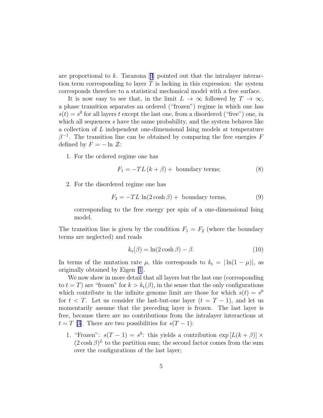areproportional to  $k$ . Tarazona [[3](#page-9-0)] pointed out that the intralayer interaction term corresponding to layer  $T$  is lacking in this expression: the system corresponds therefore to a statistical mechanical model with a free surface.

It is now easy to see that, in the limit  $L \to \infty$  followed by  $T \to \infty$ , a phase transition separates an ordered ("frozen") regime in which one has  $s(t) = s^0$  for all layers t except the last one, from a disordered ("free") one, in which all sequences s have the same probability, and the system behaves like a collection of L independent one-dimensional Ising models at temperature  $\beta^{-1}$ . The transition line can be obtained by comparing the free energies F defined by  $F = -\ln \mathcal{Z}$ :

1. For the ordered regime one has

$$
F_1 = -TL(k + \beta) + \text{ boundary terms};\tag{8}
$$

2. For the disordered regime one has

$$
F_2 = -TL \ln(2 \cosh \beta) + \text{ boundary terms},\tag{9}
$$

corresponding to the free energy per spin of a one-dimensional Ising model.

The transition line is given by the condition  $F_1 = F_2$  (where the boundary terms are neglected) and reads

$$
k_{\rm t}(\beta) = \ln(2\cosh\beta) - \beta. \tag{10}
$$

In terms of the mutation rate  $\mu$ , this corresponds to  $k_t = |\ln(1 - \mu)|$ , as originally obtained by Eigen [\[1](#page-8-0)].

We now show in more detail that all layers but the last one (corresponding to  $t = T$ ) are "frozen" for  $k > k_t(\beta)$ , in the sense that the only configurations which contribute in the infinite genome limit are those for which  $s(t) = s^0$ for  $t < T$ . Let us consider the last-but-one layer  $(t = T - 1)$ , and let us momentarily assume that the preceding layer is frozen. The last layer is free, because there are no contributions from the intralayer interactions at  $t = T$  [\[3\]](#page-9-0). There are two possibilities for  $s(T - 1)$ :

1. "Frozen":  $s(T-1) = s^0$ : this yields a contribution  $\exp[L(k+\beta)] \times$  $(2 \cosh \beta)^L$  to the partition sum; the second factor comes from the sum over the configurations of the last layer;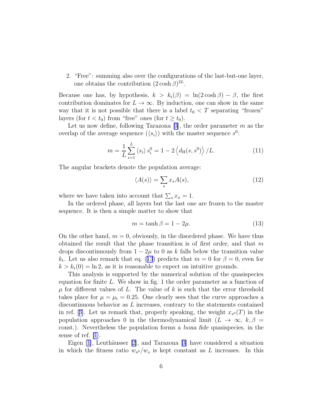<span id="page-5-0"></span>2. "Free": summing also over the configurations of the last-but-one layer, one obtains the contribution  $(2 \cosh \beta)^{2L}$ .

Because one has, by hypothesis,  $k > k_t(\beta) = \ln(2 \cosh \beta) - \beta$ , the first contribution dominates for  $L \to \infty$ . By induction, one can show in the same way that it is not possible that there is a label  $t_0 < T$  separating "frozen" layers (for  $t < t_0$ ) from "free" ones (for  $t \ge t_0$ ).

Let us now define, following Tarazona [\[3\]](#page-9-0), the order parameter  $m$  as the overlap of the average sequence  $(\langle s_i \rangle)$  with the master sequence  $s^0$ :

$$
m = \frac{1}{L} \sum_{i=1}^{L} \langle s_i \rangle s_i^0 = 1 - 2 \langle d_H(s, s^0) \rangle / L.
$$
 (11)

The angular brackets denote the population average:

$$
\langle A(s) \rangle = \sum_{s} x_s A(s), \tag{12}
$$

where we have taken into account that  $\sum_s x_x = 1$ .

In the ordered phase, all layers but the last one are frozen to the master sequence. It is then a simple matter to show that

$$
m = \tanh \beta = 1 - 2\mu. \tag{13}
$$

On the other hand,  $m = 0$ , obviously, in the disordered phase. We have thus obtained the result that the phase transition is of first order, and that  $m$ drops discontinuously from  $1 - 2\mu$  to 0 as k falls below the transition value  $k_t$ . Let us also remark that eq. (13) predicts that  $m = 0$  for  $\beta = 0$ , even for  $k > k_t(0) = \ln 2$ , as it is reasonable to expect on intuitive grounds.

This analysis is supported by the numerical solution of the quasispecies equation for finite  $L$ . We show in fig. 1 the order parameter as a function of  $\mu$  for different values of L. The value of k is such that the error threshold takes place for  $\mu = \mu_t = 0.25$ . One clearly sees that the curve approaches a discontinuous behavior as L increases, contrary to the statements contained inref. [[3\]](#page-9-0). Let us remark that, properly speaking, the weight  $x_{s0}(T)$  in the population approaches 0 in the thermodynamical limit  $(L \to \infty, k, \beta =$ const.). Nevertheless the population forms a bona fide quasispecies, in the sense of ref. [\[1](#page-8-0)].

Eigen  $[1]$ , Leuthäusser  $[2]$ , and Tarazona  $[3]$  have considered a situation in which the fitness ratio  $w_{s0}/w_s$  is kept constant as L increases. In this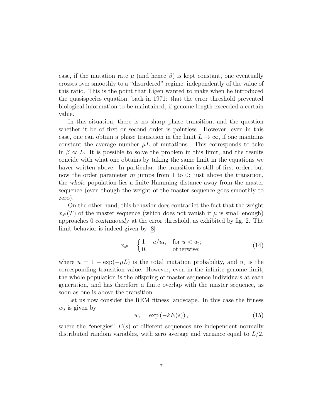case, if the mutation rate  $\mu$  (and hence  $\beta$ ) is kept constant, one eventually crosses over smoothly to a "disordered" regime, independently of the value of this ratio. This is the point that Eigen wanted to make when he introduced the quasispecies equation, back in 1971: that the error threshold prevented biological information to be maintained, if genome length exceeded a certain value.

In this situation, there is no sharp phase transition, and the question whether it be of first or second order is pointless. However, even in this case, one can obtain a phase transition in the limit  $L \to \infty$ , if one mantains constant the average number  $\mu$  of mutations. This corresponds to take  $\ln \beta \propto L$ . It is possible to solve the problem in this limit, and the results concide with what one obtains by taking the same limit in the equations we haver written above. In particular, the transition is still of first order, but now the order parameter  $m$  jumps from 1 to 0: just above the transition, the whole population lies a finite Hamming distance away from the master sequence (even though the weight of the master sequence goes smoothly to zero).

On the other hand, this behavior does contradict the fact that the weight  $x_{s0}(T)$  of the master sequence (which does not vanish if  $\mu$  is small enough) approaches 0 continuously at the error threshold, as exhibited by fig. 2. The limit behavior is indeed given by [\[8\]](#page-9-0)

$$
x_{s^0} = \begin{cases} 1 - u/u_t, & \text{for } u < u_t; \\ 0, & \text{otherwise}; \end{cases}
$$
 (14)

where  $u = 1 - \exp(-\mu L)$  is the total mutation probability, and  $u_t$  is the corresponding transition value. However, even in the infinite genome limit, the whole population is the offspring of master sequence individuals at each generation, and has therefore a finite overlap with the master sequence, as soon as one is above the transition.

Let us now consider the REM fitness landscape. In this case the fitness  $w_s$  is given by

$$
w_s = \exp(-kE(s)),\tag{15}
$$

where the "energies"  $E(s)$  of different sequences are independent normally distributed random variables, with zero average and variance equal to  $L/2$ .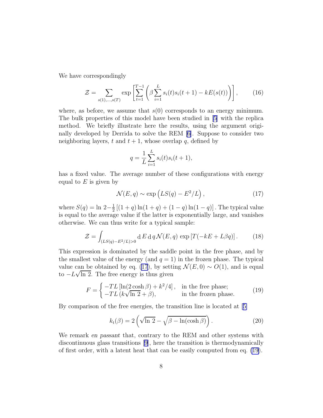We have correspondingly

$$
\mathcal{Z} = \sum_{s(1),...,s(T)} \exp\left[\sum_{t=1}^{T-1} \left(\beta \sum_{i=1}^{L} s_i(t)s_i(t+1) - kE(s(t))\right)\right],\tag{16}
$$

where, as before, we assume that  $s(0)$  corresponds to an energy minimum. The bulk properties of this model have been studied in[[5\]](#page-9-0) with the replica method. We briefly illustrate here the results, using the argument originally developed by Derrida to solve the REM [\[6](#page-9-0)]. Suppose to consider two neighboring layers, t and  $t + 1$ , whose overlap q, defined by

$$
q = \frac{1}{L} \sum_{i=1}^{L} s_i(t) s_i(t+1),
$$

has a fixed value. The average number of these configurations with energy equal to  $E$  is given by

$$
\mathcal{N}(E, q) \sim \exp\left(LS(q) - E^2/L\right),\tag{17}
$$

where  $S(q) = \ln 2 - \frac{1}{2}$  $\frac{1}{2}[(1+q)\ln(1+q) + (1-q)\ln(1-q)]$ . The typical value is equal to the average value if the latter is exponentially large, and vanishes otherwise. We can thus write for a typical sample:

$$
\mathcal{Z} = \int_{(LS(q)-E^2/L)>0} dE \, d\, q \, \mathcal{N}(E,q) \, \exp\left[T(-kE + L\beta q)\right]. \tag{18}
$$

This expression is dominated by the saddle point in the free phase, and by the smallest value of the energy (and  $q = 1$ ) in the frozen phase. The typical value can be obtained by eq. (17), by setting  $\mathcal{N}(E, 0) \sim O(1)$ , and is equal to  $-L\sqrt{\ln 2}$ . The free energy is thus given

$$
F = \begin{cases} -TL\left[\ln(2\cosh\beta) + k^2/4\right], & \text{in the free phase;}\\ -TL\left(k\sqrt{\ln 2} + \beta\right), & \text{in the frozen phase.} \end{cases}
$$
(19)

Bycomparison of the free energies, the transition line is located at  $|5|$ 

$$
k_{\rm t}(\beta) = 2\left(\sqrt{\ln 2} - \sqrt{\beta - \ln(\cosh \beta)}\right). \tag{20}
$$

We remark en passant that, contrary to the REM and other systems with discontinuous glass transitions[[9\]](#page-9-0), here the transition is thermodynamically of first order, with a latent heat that can be easily computed from eq. (19).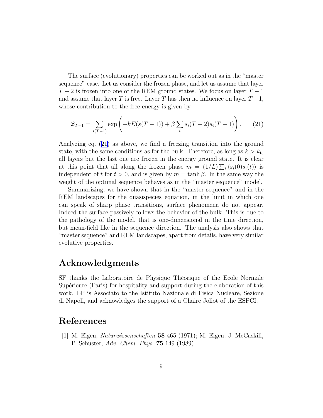<span id="page-8-0"></span>The surface (evolutionary) properties can be worked out as in the "master sequence" case. Let us consider the frozen phase, and let us assume that layer  $T-2$  is frozen into one of the REM ground states. We focus on layer  $T-1$ and assume that layer T is free. Layer T has then no influence on layer  $T-1$ , whose contribution to the free energy is given by

$$
\mathcal{Z}_{T-1} = \sum_{s(T-1)} \exp\left(-kE(s(T-1)) + \beta \sum_{i} s_i(T-2)s_i(T-1)\right). \tag{21}
$$

Analyzing eq. (21) as above, we find a freezing transition into the ground state, with the same conditions as for the bulk. Therefore, as long as  $k > k_t$ , all layers but the last one are frozen in the energy ground state. It is clear at this point that all along the frozen phase  $m = (1/L) \sum_i \langle s_i(0)s_i(t) \rangle$  is independent of t for  $t > 0$ , and is given by  $m = \tanh \beta$ . In the same way the weight of the optimal sequence behaves as in the "master sequence" model.

Summarizing, we have shown that in the "master sequence" and in the REM landscapes for the quasispecies equation, in the limit in which one can speak of sharp phase transitions, surface phenomena do not appear. Indeed the surface passively follows the behavior of the bulk. This is due to the pathology of the model, that is one-dimensional in the time direction, but mean-field like in the sequence direction. The analysis also shows that "master sequence" and REM landscapes, apart from details, have very similar evolutive properties.

### Acknowledgments

SF thanks the Laboratoire de Physique Théorique of the Ecole Normale Supérieure (Paris) for hospitality and support during the elaboration of this work. LP is Associato to the Istituto Nazionale di Fisica Nucleare, Sezione di Napoli, and acknowledges the support of a Chaire Joliot of the ESPCI.

# References

[1] M. Eigen, *Naturwissenschaften* 58 465 (1971); M. Eigen, J. McCaskill, P. Schuster, *Adv. Chem. Phys.* 75 149 (1989).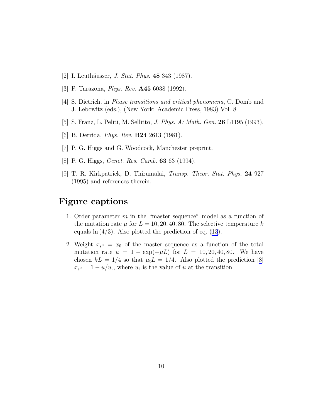- <span id="page-9-0"></span>[2] I. Leuthäusser, *J. Stat. Phys.* **48** 343 (1987).
- [3] P. Tarazona, *Phys. Rev.* A45 6038 (1992).
- [4] S. Dietrich, in *Phase transitions and critical phenomena*, C. Domb and J. Lebowitz (eds.), (New York: Academic Press, 1983) Vol. 8.
- [5] S. Franz, L. Peliti, M. Sellitto, *J. Phys. A: Math. Gen.* 26 L1195 (1993).
- [6] B. Derrida, *Phys. Rev.* B24 2613 (1981).
- [7] P. G. Higgs and G. Woodcock, Manchester preprint.
- [8] P. G. Higgs, *Genet. Res. Camb.* 63 63 (1994).
- [9] T. R. Kirkpatrick, D. Thirumalai, *Transp. Theor. Stat. Phys.* 24 927 (1995) and references therein.

### Figure captions

- 1. Order parameter m in the "master sequence" model as a function of the mutation rate  $\mu$  for  $L = 10, 20, 40, 80$ . The selective temperature k equals $\ln(4/3)$ . Also plotted the prediction of eq. ([13](#page-5-0)).
- 2. Weight  $x_{s0} = x_0$  of the master sequence as a function of the total mutation rate  $u = 1 - \exp(-\mu L)$  for  $L = 10, 20, 40, 80$ . We have chosen  $k = 1/4$  so that  $\mu_t L = 1/4$ . Also plotted the prediction [8]  $x_{s0} = 1 - u/u_t$ , where  $u_t$  is the value of u at the transition.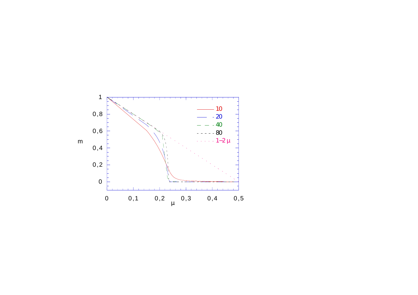